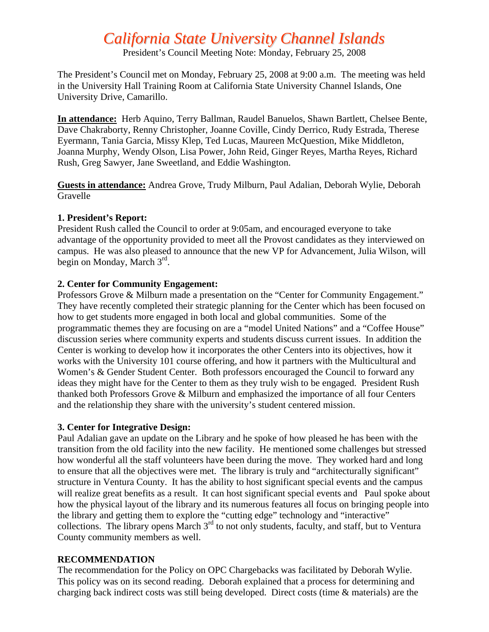# *California State University Channel Islands*

President's Council Meeting Note: Monday, February 25, 2008

The President's Council met on Monday, February 25, 2008 at 9:00 a.m. The meeting was held in the University Hall Training Room at California State University Channel Islands, One University Drive, Camarillo.

**In attendance:** Herb Aquino, Terry Ballman, Raudel Banuelos, Shawn Bartlett, Chelsee Bente, Dave Chakraborty, Renny Christopher, Joanne Coville, Cindy Derrico, Rudy Estrada, Therese Eyermann, Tania Garcia, Missy Klep, Ted Lucas, Maureen McQuestion, Mike Middleton, Joanna Murphy, Wendy Olson, Lisa Power, John Reid, Ginger Reyes, Martha Reyes, Richard Rush, Greg Sawyer, Jane Sweetland, and Eddie Washington.

**Guests in attendance:** Andrea Grove, Trudy Milburn, Paul Adalian, Deborah Wylie, Deborah Gravelle

### **1. President's Report:**

President Rush called the Council to order at 9:05am, and encouraged everyone to take advantage of the opportunity provided to meet all the Provost candidates as they interviewed on campus. He was also pleased to announce that the new VP for Advancement, Julia Wilson, will begin on Monday, March 3rd.

# **2. Center for Community Engagement:**

Professors Grove & Milburn made a presentation on the "Center for Community Engagement." They have recently completed their strategic planning for the Center which has been focused on how to get students more engaged in both local and global communities. Some of the programmatic themes they are focusing on are a "model United Nations" and a "Coffee House" discussion series where community experts and students discuss current issues. In addition the Center is working to develop how it incorporates the other Centers into its objectives, how it works with the University 101 course offering, and how it partners with the Multicultural and Women's & Gender Student Center. Both professors encouraged the Council to forward any ideas they might have for the Center to them as they truly wish to be engaged. President Rush thanked both Professors Grove & Milburn and emphasized the importance of all four Centers and the relationship they share with the university's student centered mission.

# **3. Center for Integrative Design:**

Paul Adalian gave an update on the Library and he spoke of how pleased he has been with the transition from the old facility into the new facility. He mentioned some challenges but stressed how wonderful all the staff volunteers have been during the move. They worked hard and long to ensure that all the objectives were met. The library is truly and "architecturally significant" structure in Ventura County. It has the ability to host significant special events and the campus will realize great benefits as a result. It can host significant special events and Paul spoke about how the physical layout of the library and its numerous features all focus on bringing people into the library and getting them to explore the "cutting edge" technology and "interactive" collections. The library opens March 3<sup>rd</sup> to not only students, faculty, and staff, but to Ventura County community members as well.

# **RECOMMENDATION**

The recommendation for the Policy on OPC Chargebacks was facilitated by Deborah Wylie. This policy was on its second reading. Deborah explained that a process for determining and charging back indirect costs was still being developed. Direct costs (time & materials) are the